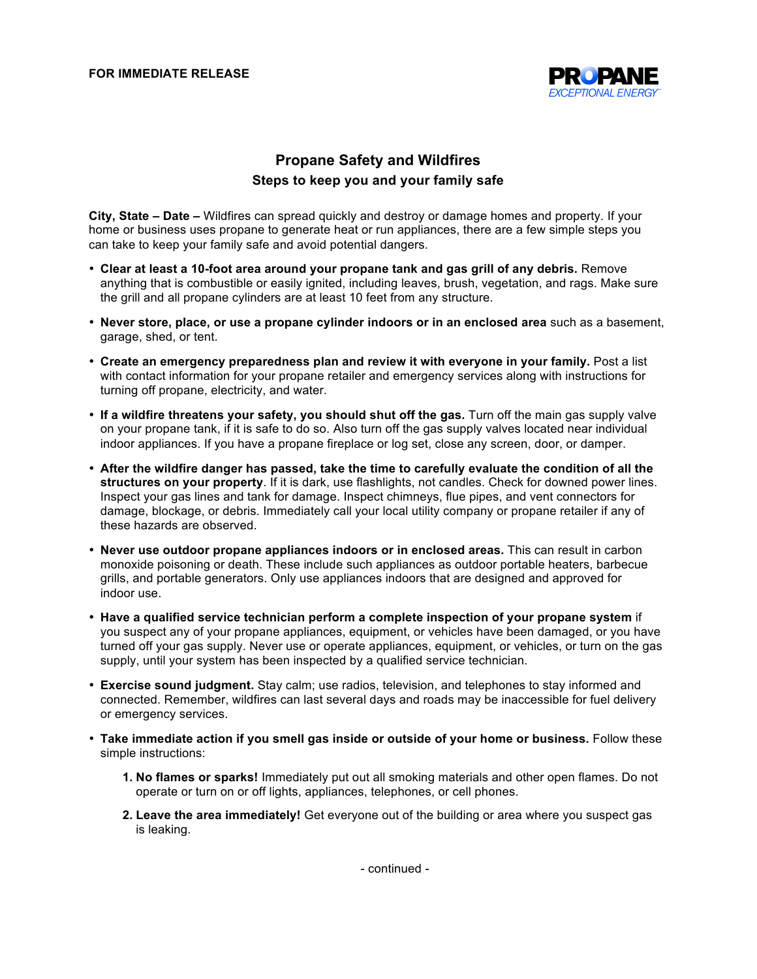

## **Propane Safety and Wildfires Steps to keep you and your family safe**

**City, State – Date –** Wildfires can spread quickly and destroy or damage homes and property. If your home or business uses propane to generate heat or run appliances, there are a few simple steps you can take to keep your family safe and avoid potential dangers.

- **Clear at least a 10-foot area around your propane tank and gas grill of any debris.** Remove anything that is combustible or easily ignited, including leaves, brush, vegetation, and rags. Make sure the grill and all propane cylinders are at least 10 feet from any structure.
- **Never store, place, or use a propane cylinder indoors or in an enclosed area** such as a basement, garage, shed, or tent.
- **Create an emergency preparedness plan and review it with everyone in your family.** Post a list with contact information for your propane retailer and emergency services along with instructions for turning off propane, electricity, and water.
- **If a wildfire threatens your safety, you should shut off the gas.** Turn off the main gas supply valve on your propane tank, if it is safe to do so. Also turn off the gas supply valves located near individual indoor appliances. If you have a propane fireplace or log set, close any screen, door, or damper.
- **After the wildfire danger has passed, take the time to carefully evaluate the condition of all the structures on your property**. If it is dark, use flashlights, not candles. Check for downed power lines. Inspect your gas lines and tank for damage. Inspect chimneys, flue pipes, and vent connectors for damage, blockage, or debris. Immediately call your local utility company or propane retailer if any of these hazards are observed.
- **Never use outdoor propane appliances indoors or in enclosed areas.** This can result in carbon monoxide poisoning or death. These include such appliances as outdoor portable heaters, barbecue grills, and portable generators. Only use appliances indoors that are designed and approved for indoor use.
- **Have a qualified service technician perform a complete inspection of your propane system** if you suspect any of your propane appliances, equipment, or vehicles have been damaged, or you have turned off your gas supply. Never use or operate appliances, equipment, or vehicles, or turn on the gas supply, until your system has been inspected by a qualified service technician.
- **Exercise sound judgment.** Stay calm; use radios, television, and telephones to stay informed and connected. Remember, wildfires can last several days and roads may be inaccessible for fuel delivery or emergency services.
- **Take immediate action if you smell gas inside or outside of your home or business.** Follow these simple instructions:
	- **1. No flames or sparks!** Immediately put out all smoking materials and other open flames. Do not operate or turn on or off lights, appliances, telephones, or cell phones.
	- **2. Leave the area immediately!** Get everyone out of the building or area where you suspect gas is leaking.

- continued -